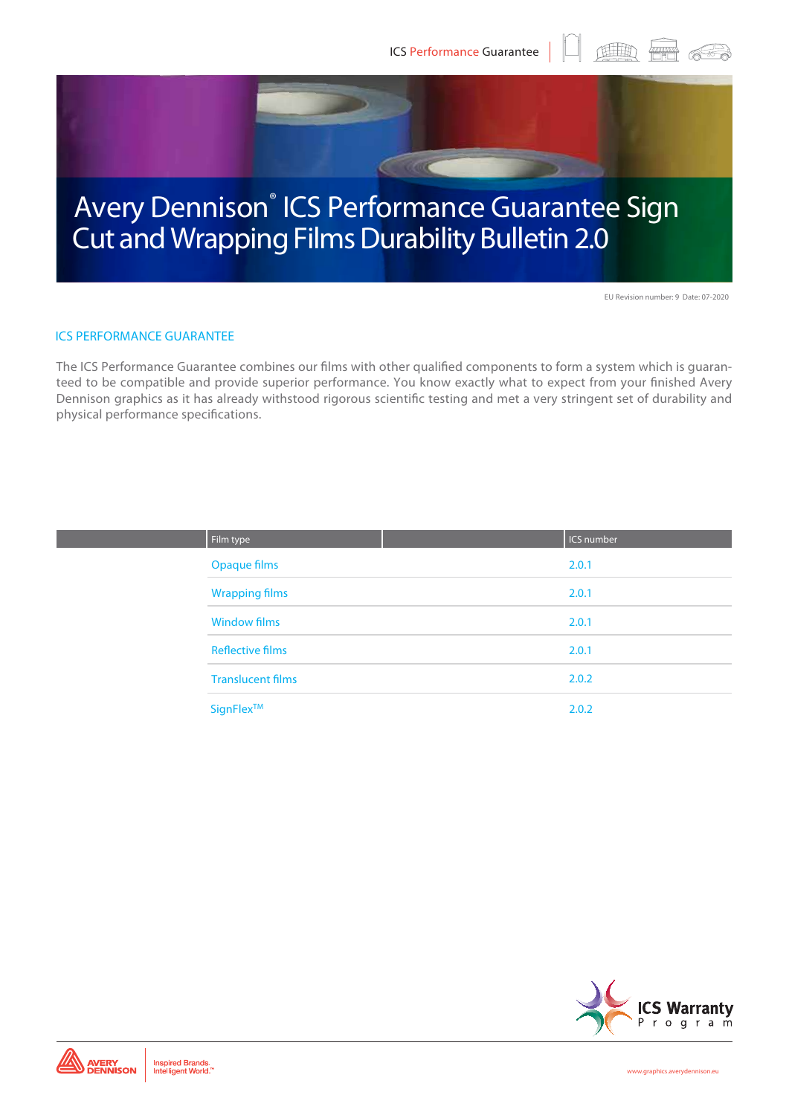

EU Revision number: 9 Date: 07-2020

 $\begin{picture}(100,100) \put(0,0){\line(1,0){10}} \put(10,0){\line(1,0){10}} \put(10,0){\line(1,0){10}} \put(10,0){\line(1,0){10}} \put(10,0){\line(1,0){10}} \put(10,0){\line(1,0){10}} \put(10,0){\line(1,0){10}} \put(10,0){\line(1,0){10}} \put(10,0){\line(1,0){10}} \put(10,0){\line(1,0){10}} \put(10,0){\line(1,0){10}} \put(10,0){\line$ 

#### ICS PERFORMANCE GUARANTEE

The ICS Performance Guarantee combines our films with other qualified components to form a system which is guaranteed to be compatible and provide superior performance. You know exactly what to expect from your finished Avery Dennison graphics as it has already withstood rigorous scientific testing and met a very stringent set of durability and physical performance specifications.

| Film type                | <b>ICS number</b> |
|--------------------------|-------------------|
| <b>Opaque films</b>      | 2.0.1             |
| <b>Wrapping films</b>    | 2.0.1             |
| <b>Window films</b>      | 2.0.1             |
| <b>Reflective films</b>  | 2.0.1             |
| <b>Translucent films</b> | 2.0.2             |
| SignFlex™                | 2.0.2             |

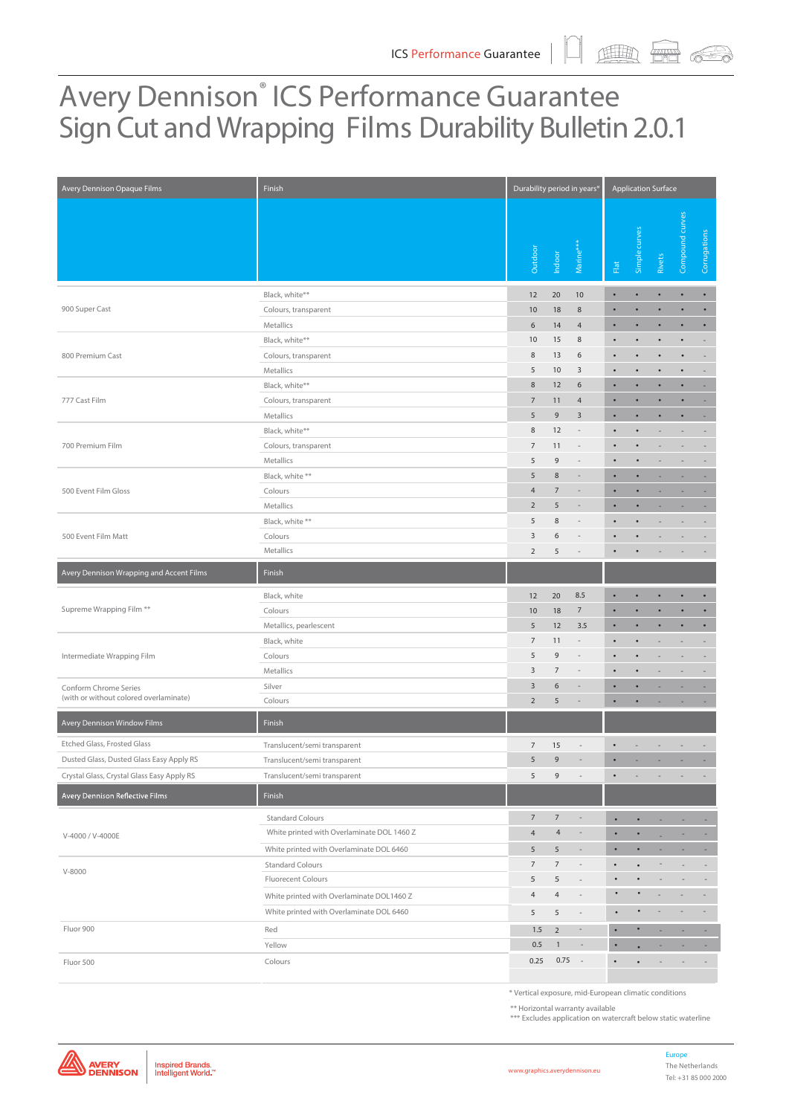# Avery Dennison<sup>®</sup> ICS Performance Guarantee Sign Cut and Wrapping Films Durability Bulletin 2.0.1

| Avery Dennison Opaque Films                                     | Finish                                     | Durability period in years* |                |                          | <b>Application Surface</b> |           |                          |                          |                          |  |  |
|-----------------------------------------------------------------|--------------------------------------------|-----------------------------|----------------|--------------------------|----------------------------|-----------|--------------------------|--------------------------|--------------------------|--|--|
|                                                                 |                                            | Outdoor                     | Indoor         | Marine <sup>*</sup>      | ${\sf Flat}$               | Simple cu | Rivets                   | Compound curves          | Corrugations             |  |  |
|                                                                 | Black, white**                             | 12                          | 20             | 10                       | $\bullet$                  | $\bullet$ | $\bullet$                | ٠                        | $\bullet$                |  |  |
| 900 Super Cast                                                  | Colours, transparent                       | 10                          | 18             | $\,$ 8 $\,$              | $\bullet$                  | $\bullet$ | $\bullet$                | $\bullet$                | $\bullet$                |  |  |
|                                                                 | Metallics                                  | 6                           | 14             | $\overline{4}$           |                            |           | ٠                        | ٠                        | ٠                        |  |  |
|                                                                 | Black, white**                             | 10                          | 15             | 8                        | $\bullet$                  | ٠         | $\bullet$                | $\bullet$                | $\overline{\phantom{a}}$ |  |  |
| 800 Premium Cast                                                | Colours, transparent                       | 8                           | 13             | 6                        |                            |           |                          | $\bullet$                | $\sim$                   |  |  |
|                                                                 | Metallics                                  | 5                           | 10             | 3                        |                            |           |                          | $\bullet$                | $\overline{\phantom{a}}$ |  |  |
|                                                                 | Black, white**                             | 8                           | 12             | $\boldsymbol{6}$         | $\bullet$                  | ٠         | $\bullet$                | $\bullet$                | ٠                        |  |  |
| 777 Cast Film                                                   | Colours, transparent                       | $\overline{7}$              | 11             | $\overline{4}$           | ٠                          | ٠         | ٠                        |                          | ٠                        |  |  |
|                                                                 | Metallics                                  | 5                           | $\mathsf 9$    | $\overline{3}$           | $\bullet$                  | $\bullet$ | ٠                        | ٠                        | $\overline{\phantom{a}}$ |  |  |
|                                                                 | Black, white**                             | $\,8\,$                     | 12             | $\overline{\phantom{a}}$ |                            | ٠         |                          | $\overline{\phantom{a}}$ | $\overline{\phantom{a}}$ |  |  |
| 700 Premium Film                                                | Colours, transparent                       | $\overline{7}$              | 11             |                          |                            | ٠         |                          |                          |                          |  |  |
|                                                                 | Metallics                                  | 5                           | 9              | $\overline{\phantom{a}}$ | $\bullet$                  | $\bullet$ | ÷                        | $\overline{\phantom{a}}$ | $\overline{\phantom{a}}$ |  |  |
|                                                                 | Black, white **                            | 5                           | $\,8\,$        |                          | ٠                          | ٠         | ٠                        | ٠                        | ٠.                       |  |  |
| 500 Event Film Gloss                                            | Colours                                    | $\overline{4}$              | $\overline{7}$ |                          | $\bullet$                  | $\bullet$ | ٠                        |                          | ٠                        |  |  |
|                                                                 | Metallics                                  | $\overline{2}$              | 5              |                          |                            | ٠         |                          |                          |                          |  |  |
|                                                                 | Black, white **                            | 5                           | $\,8\,$        |                          |                            |           |                          |                          |                          |  |  |
| 500 Event Film Matt                                             | Colours                                    | 3                           | 6              | $\overline{\phantom{a}}$ |                            | ٠         |                          | $\sim$                   | $\overline{\phantom{a}}$ |  |  |
|                                                                 | Metallics                                  | $\overline{2}$              | 5              |                          |                            |           |                          |                          |                          |  |  |
| Avery Dennison Wrapping and Accent Films                        | Finish                                     |                             |                |                          |                            |           |                          |                          |                          |  |  |
|                                                                 |                                            |                             |                |                          |                            |           |                          |                          |                          |  |  |
|                                                                 | Black, white                               | 12                          | 20             | 8.5                      |                            |           | $\bullet$                | ٠                        | $\bullet$                |  |  |
| Supreme Wrapping Film **                                        | Colours                                    | 10                          | 18             | $\overline{7}$           |                            |           |                          |                          | $\bullet$                |  |  |
|                                                                 | Metallics, pearlescent                     | 5                           | 12             | 3.5                      |                            | ٠         | $\bullet$                | ٠                        | $\bullet$                |  |  |
|                                                                 | Black, white                               | $\overline{7}$              | 11             | $\overline{\phantom{a}}$ |                            |           |                          |                          | $\overline{\phantom{a}}$ |  |  |
| Intermediate Wrapping Film                                      | Colours                                    | 5                           | 9              | $\overline{\phantom{a}}$ |                            |           |                          | ÷,                       | $\sim$                   |  |  |
|                                                                 | Metallics                                  | 3                           | $\overline{7}$ | $\overline{\phantom{a}}$ |                            |           |                          | ×,                       | $\overline{\phantom{a}}$ |  |  |
| Conform Chrome Series<br>(with or without colored overlaminate) | Silver                                     | $\overline{3}$              | 6              |                          |                            |           |                          |                          |                          |  |  |
|                                                                 | Colours                                    | $\overline{2}$              | 5              |                          |                            | $\bullet$ |                          |                          |                          |  |  |
| Avery Dennison Window Films                                     | Finish                                     |                             |                |                          |                            |           |                          |                          |                          |  |  |
| Etched Glass, Frosted Glass                                     | Translucent/semi transparent               | $\overline{7}$              | 15             |                          |                            |           |                          |                          |                          |  |  |
| Dusted Glass, Dusted Glass Easy Apply RS                        | Translucent/semi transparent               | 5                           | 9              |                          |                            |           |                          |                          |                          |  |  |
| Crystal Glass, Crystal Glass Easy Apply RS                      | Translucent/semi transparent               | 5                           | 9              | $\overline{\phantom{a}}$ |                            |           |                          |                          |                          |  |  |
| Avery Dennison Reflective Films                                 | Finish                                     |                             |                |                          |                            |           |                          |                          |                          |  |  |
|                                                                 | <b>Standard Colours</b>                    | $\overline{7}$              | $\overline{7}$ | $\overline{\phantom{a}}$ | $\bullet$                  | ٠         |                          |                          | ٠                        |  |  |
|                                                                 | White printed with Overlaminate DOL 1460 Z | $\overline{4}$              | $\overline{4}$ | $\overline{\phantom{m}}$ | ٠                          | $\bullet$ |                          | ٠                        | ж.                       |  |  |
| V-4000 / V-4000E                                                | White printed with Overlaminate DOL 6460   | 5                           | 5              | $\overline{\phantom{a}}$ | $\bullet$                  | ٠         | ٠                        | ٠                        | ۰.                       |  |  |
|                                                                 | <b>Standard Colours</b>                    | $\overline{7}$              | $\overline{7}$ | $\overline{\phantom{a}}$ | $\bullet$                  | $\bullet$ |                          | $\overline{\phantom{a}}$ | $\overline{\phantom{a}}$ |  |  |
| $V-8000$                                                        | Fluorecent Colours                         | 5                           | 5              |                          | $\bullet$                  |           |                          |                          | ÷,                       |  |  |
|                                                                 | White printed with Overlaminate DOL1460 Z  | $\overline{4}$              | $\overline{4}$ | $\overline{\phantom{a}}$ |                            |           |                          |                          |                          |  |  |
|                                                                 |                                            |                             |                |                          |                            |           |                          |                          |                          |  |  |
|                                                                 | White printed with Overlaminate DOL 6460   | 5                           | 5              | $\overline{\phantom{a}}$ |                            |           |                          |                          |                          |  |  |
| Fluor 900                                                       | Red                                        | $1.5\,$                     | $\overline{2}$ | $\overline{\phantom{a}}$ | $\bullet$                  | $\bullet$ |                          |                          |                          |  |  |
|                                                                 | Yellow                                     | 0.5                         | $\mathbf{1}$   | $\overline{\phantom{a}}$ | $\bullet$                  |           | ٠                        | ٠                        | ٠.                       |  |  |
| Fluor 500                                                       | Colours                                    | 0.25                        | 0.75           | $\sim$                   | $\bullet$                  | $\bullet$ | $\overline{\phantom{a}}$ | $\overline{\phantom{a}}$ | $\sim$                   |  |  |

\* Vertical exposure, mid-European climatic conditions

\*\* Horizontal warranty available

\*\*\* Excludes application on watercraft below static waterline

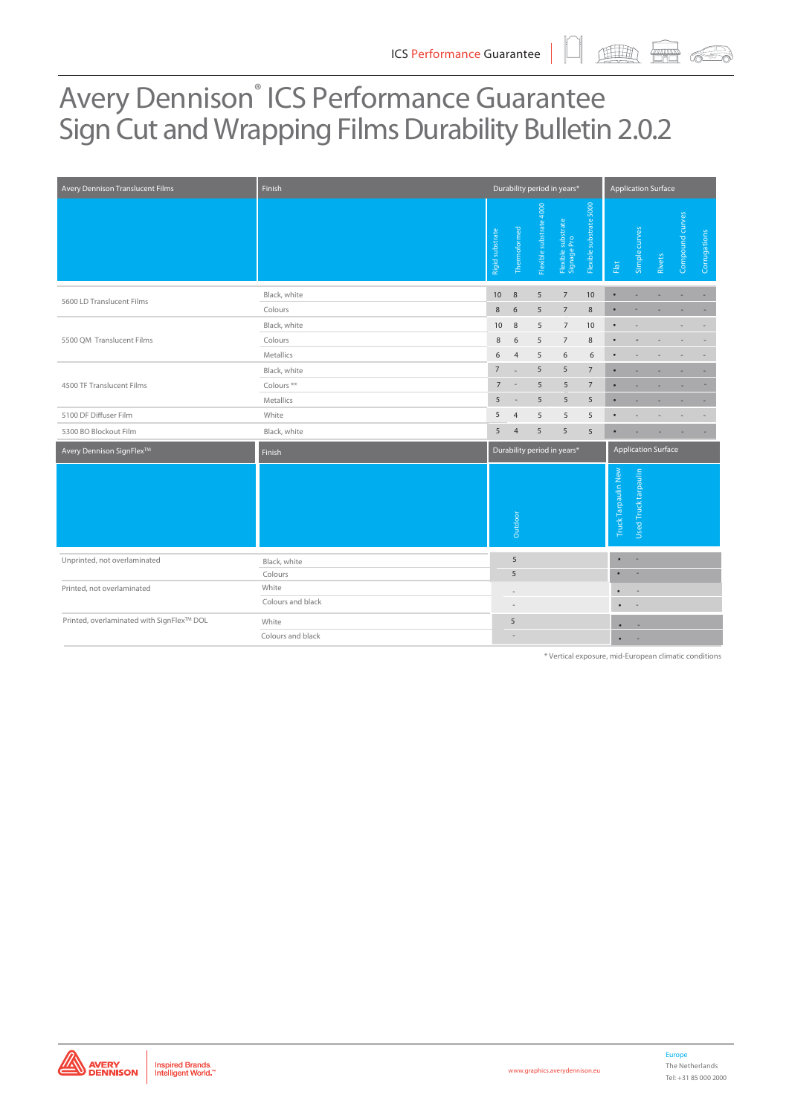# Avery Dennison<sup>®</sup> ICS Performance Guarantee Sign Cut and Wrapping Films Durability Bulletin 2.0.2

| Avery Dennison Translucent Films          | Finish                                                |                                                           |                          |                         | Durability period in years*       |                         | <b>Application Surface</b> |                             |        |                          |              |  |  |
|-------------------------------------------|-------------------------------------------------------|-----------------------------------------------------------|--------------------------|-------------------------|-----------------------------------|-------------------------|----------------------------|-----------------------------|--------|--------------------------|--------------|--|--|
|                                           |                                                       | Rigid substrate                                           | Thermoformed             | Flexible substrate 4000 | Flexible substrate<br>Signage Pro | Flexible substrate 5000 | Flat                       | Simple curves               | Rivets | Compound curves          | Corrugations |  |  |
| 5600 LD Translucent Films                 | Black, white                                          | 10                                                        | 8                        | 5                       | $\overline{7}$                    | 10                      | $\bullet$                  | ٠                           | ٠      |                          |              |  |  |
|                                           | Colours                                               | 8                                                         | 6                        | 5                       | $\overline{7}$                    | $\,8\,$                 | $\bullet$                  | ä,                          |        |                          |              |  |  |
|                                           | Black, white                                          | 10                                                        | 8                        | 5                       | $\overline{7}$                    | 10                      | $\bullet$                  | $\overline{\phantom{a}}$    |        | $\overline{\phantom{a}}$ |              |  |  |
| 5500 QM Translucent Films                 | Colours                                               | $\,$ 8 $\,$                                               | 6                        | 5                       | $\overline{7}$                    | 8                       | $\bullet$                  | $\overline{a}$              |        |                          |              |  |  |
|                                           | Metallics                                             | 6                                                         | $\overline{4}$           | 5                       | 6                                 | 6                       | $\bullet$                  |                             |        |                          |              |  |  |
|                                           | Black, white                                          | $\overline{7}$                                            | $\overline{\phantom{a}}$ | 5                       | 5                                 | $\overline{7}$          | ٠                          |                             |        |                          |              |  |  |
| 4500 TF Translucent Films                 | Colours <sup>**</sup>                                 | $\overline{7}$                                            | $\overline{\phantom{a}}$ | 5                       | 5                                 | $\overline{7}$          | ٠                          |                             |        |                          |              |  |  |
|                                           | Metallics                                             | 5                                                         | $\overline{\phantom{a}}$ | 5                       | 5                                 | 5                       | ٠                          |                             |        |                          |              |  |  |
| 5100 DF Diffuser Film                     | White                                                 | 5                                                         | $\overline{4}$           | 5                       | 5                                 | 5                       |                            |                             |        |                          |              |  |  |
| 5300 BO Blockout Film                     | Black, white                                          | 5                                                         | $\overline{4}$           | 5                       | 5                                 | 5                       | $\bullet$                  |                             |        |                          |              |  |  |
| Avery Dennison SignFlex™                  | Finish                                                | Durability period in years*<br><b>Application Surface</b> |                          |                         |                                   |                         |                            |                             |        |                          |              |  |  |
|                                           |                                                       |                                                           | Outdoor                  |                         |                                   |                         | Truck Tarpaulin New        | <b>Used Truck tarpaulin</b> |        |                          |              |  |  |
| Unprinted, not overlaminated              | Black, white                                          |                                                           | 5                        |                         |                                   |                         | $\bullet$                  | $\sim$                      |        |                          |              |  |  |
|                                           | Colours                                               |                                                           | 5                        |                         |                                   |                         | $\bullet$                  |                             |        |                          |              |  |  |
| Printed, not overlaminated                | White                                                 |                                                           |                          |                         |                                   |                         |                            |                             |        |                          |              |  |  |
|                                           | Colours and black                                     |                                                           | ÷                        |                         |                                   |                         |                            |                             |        |                          |              |  |  |
| Printed, overlaminated with SignFlex™ DOL | White                                                 |                                                           | 5                        |                         |                                   |                         |                            | ÷                           |        |                          |              |  |  |
|                                           | Colours and black                                     |                                                           |                          |                         |                                   |                         |                            |                             |        |                          |              |  |  |
|                                           | * Vertical exposure, mid-European climatic conditions |                                                           |                          |                         |                                   |                         |                            |                             |        |                          |              |  |  |



**www.graphics.averydennison.eu**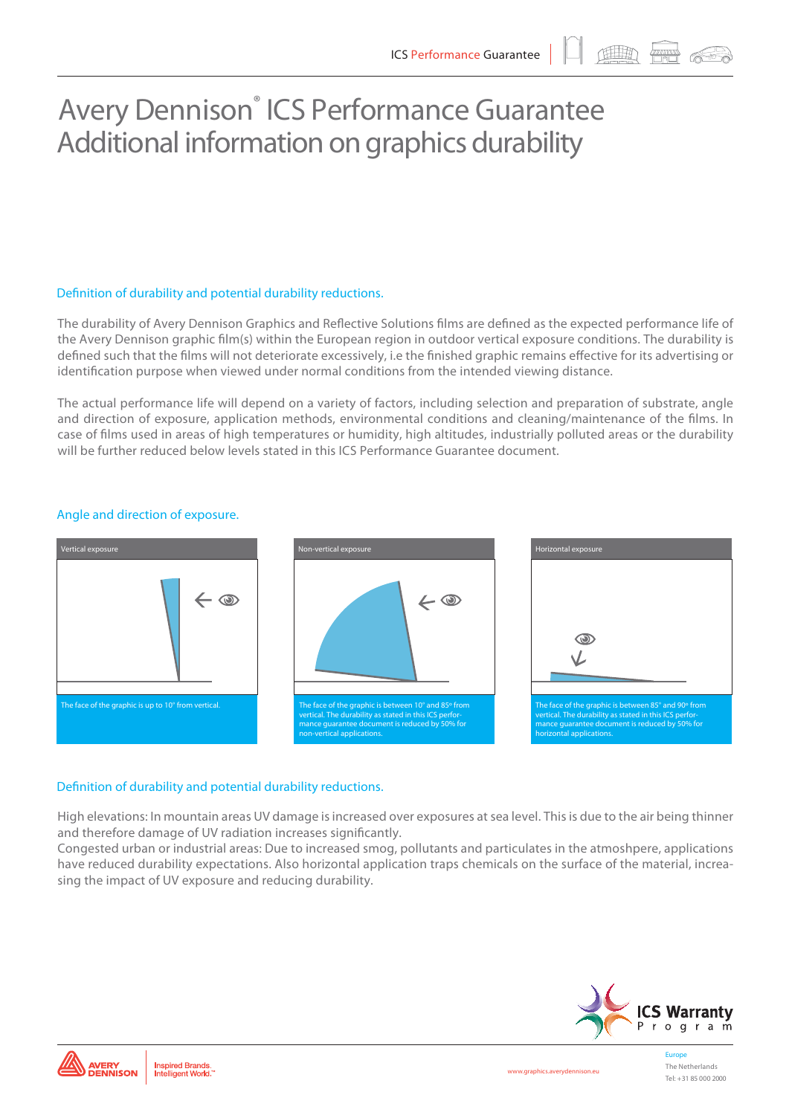画 需

## Avery Dennison<sup>®</sup> ICS Performance Guarantee Additional information on graphics durability

### Definition of durability and potential durability reductions.

The durability of Avery Dennison Graphics and Reflective Solutions films are defined as the expected performance life of the Avery Dennison graphic film(s) within the European region in outdoor vertical exposure conditions. The durability is defined such that the films will not deteriorate excessively, i.e the finished graphic remains effective for its advertising or identification purpose when viewed under normal conditions from the intended viewing distance.

The actual performance life will depend on a variety of factors, including selection and preparation of substrate, angle and direction of exposure, application methods, environmental conditions and cleaning/maintenance of the films. In case of films used in areas of high temperatures or humidity, high altitudes, industrially polluted areas or the durability will be further reduced below levels stated in this ICS Performance Guarantee document.



### Angle and direction of exposure.

### Definition of durability and potential durability reductions.

High elevations: In mountain areas UV damage is increased over exposures at sea level. This is due to the air being thinner and therefore damage of UV radiation increases significantly.

Congested urban or industrial areas: Due to increased smog, pollutants and particulates in the atmoshpere, applications have reduced durability expectations. Also horizontal application traps chemicals on the surface of the material, increasing the impact of UV exposure and reducing durability.



Europe The Netherlands Tel: +31 85 000 2000

Inspired Brands.<br>Intelligent World.

**AVERY<br>DENNISON** 

**www.graphics.averydennison.eu**